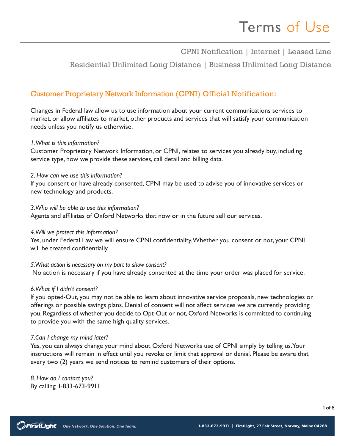CPNI Notification | Internet | Leased Line

Residential Unlimited Long Distance | Business Unlimited Long Distance

## Customer Proprietary Network Information (CPNI) Official Notification:

Changes in Federal law allow us to use information about your current communications services to market, or allow affiliates to market, other products and services that will satisfy your communication needs unless you notify us otherwise.

### *1. What is this information?*

Customer Proprietary Network Information, or CPNI, relates to services you already buy, including service type, how we provide these services, call detail and billing data.

#### *2. How can we use this information?*

If you consent or have already consented, CPNI may be used to advise you of innovative services or new technology and products.

#### *3.Who will be able to use this information?*

Agents and affiliates of Oxford Networks that now or in the future sell our services.

### *4.Will we protect this information?*

Yes, under Federal Law we will ensure CPNI confidentiality. Whether you consent or not, your CPNI will be treated confidentially.

*5.What action is necessary on my part to show consent?* No action is necessary if you have already consented at the time your order was placed for service.

#### *6.What if I didn't consent?*

If you opted-Out, you may not be able to learn about innovative service proposals, new technologies or offerings or possible savings plans. Denial of consent will not affect services we are currently providing you. Regardless of whether you decide to Opt-Out or not, Oxford Networks is committed to continuing to provide you with the same high quality services.

#### *7.Can I change my mind later?*

Yes, you can always change your mind about Oxford Networks use of CPNI simply by telling us. Your instructions will remain in effect until you revoke or limit that approval or denial. Please be aware that every two (2) years we send notices to remind customers of their options.

*8. How do I contact you?*  By calling 1-833-673-9911.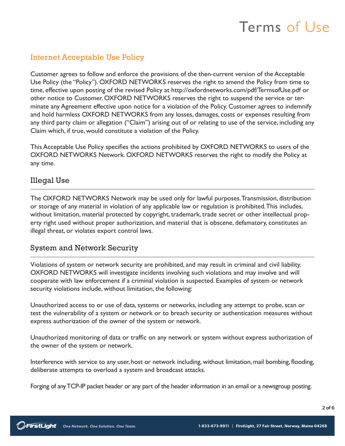# Internet Acceptable Use Policy

Customer agrees to follow and enforce the provisions of the then-current version of the Acceptable Use Policy (the "Policy"). OXFORD NETWORKS reserves the right to amend the Policy from time to time, effective upon posting of the revised Policy at http://oxfordnetworks.com/pdf/TermsofUse.pdf or other notice to Customer. OXFORD NETWORKS reserves the right to suspend the service or terminate any Agreement effective upon notice for a violation of the Policy. Customer agrees to indemnify and hold harmless OXFORD NETWORKS from any losses, damages, costs or expenses resulting from any third party claim or allegation ("Claim") arising out of or relating to use of the service, including any Claim which, if true, would constitute a violation of the Policy.

This Acceptable Use Policy specifies the actions prohibited by OXFORD NETWORKS to users of the OXFORD NETWORKS Network. OXFORD NETWORKS reserves the right to modify the Policy at any time.

## Illegal Use

The OXFORD NETWORKS Network may be used only for lawful purposes. Transmission, distribution or storage of any material in violation of any applicable law or regulation is prohibited. This includes, without limitation, material protected by copyright, trademark, trade secret or other intellectual property right used without proper authorization, and material that is obscene, defamatory, constitutes an illegal threat, or violates export control laws.

# System and Network Security

Violations of system or network security are prohibited, and may result in criminal and civil liability. OXFORD NETWORKS will investigate incidents involving such violations and may involve and will cooperate with law enforcement if a criminal violation is suspected. Examples of system or network security violations include, without limitation, the following:

Unauthorized access to or use of data, systems or networks, including any attempt to probe, scan or test the vulnerability of a system or network or to breach security or authentication measures without express authorization of the owner of the system or network.

Unauthorized monitoring of data or traffic on any network or system without express authorization of the owner of the system or network.

Interference with service to any user, host or network including, without limitation, mail bombing, flooding, deliberate attempts to overload a system and broadcast attacks.

Forging of any TCP-IP packet header or any part of the header information in an email or a newsgroup posting.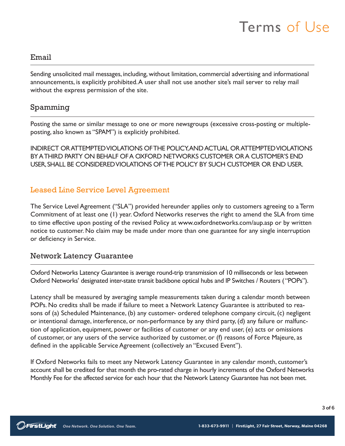### Email

Sending unsolicited mail messages, including, without limitation, commercial advertising and informational announcements, is explicitly prohibited. A user shall not use another site's mail server to relay mail without the express permission of the site.

### Spamming

Posting the same or similar message to one or more newsgroups (excessive cross-posting or multipleposting, also known as "SPAM") is explicitly prohibited.

INDIRECT OR ATTEMPTED VIOLATIONS OF THE POLICY, AND ACTUAL OR ATTEMPTED VIOLATIONS BY A THIRD PARTY ON BEHALF OF A OXFORD NETWORKS CUSTOMER OR A CUSTOMER'S END USER, SHALL BE CONSIDERED VIOLATIONS OF THE POLICY BY SUCH CUSTOMER OR END USER.

## Leased Line Service Level Agreement

The Service Level Agreement ("SLA") provided hereunder applies only to customers agreeing to a Term Commitment of at least one (1) year. Oxford Networks reserves the right to amend the SLA from time to time effective upon posting of the revised Policy at www.oxfordnetworks.com/aup.asp or by written notice to customer. No claim may be made under more than one guarantee for any single interruption or deficiency in Service.

### Network Latency Guarantee

Oxford Networks Latency Guarantee is average round-trip transmission of 10 milliseconds or less between Oxford Networks' designated inter-state transit backbone optical hubs and IP Switches / Routers ( "POPs").

Latency shall be measured by averaging sample measurements taken during a calendar month between POPs. No credits shall be made if failure to meet a Network Latency Guarantee is attributed to reasons of (a) Scheduled Maintenance, (b) any customer- ordered telephone company circuit, (c) negligent or intentional damage, interference, or non-performance by any third party, (d) any failure or malfunction of application, equipment, power or facilities of customer or any end user, (e) acts or omissions of customer, or any users of the service authorized by customer, or (f) reasons of Force Majeure, as defined in the applicable Service Agreement (collectively an "Excused Event").

If Oxford Networks fails to meet any Network Latency Guarantee in any calendar month, customer's account shall be credited for that month the pro-rated charge in hourly increments of the Oxford Networks Monthly Fee for the affected service for each hour that the Network Latency Guarantee has not been met.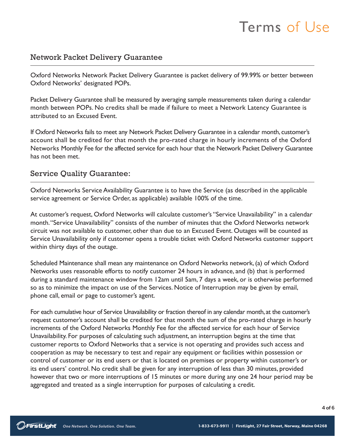## Network Packet Delivery Guarantee

Oxford Networks Network Packet Delivery Guarantee is packet delivery of 99.99% or better between Oxford Networks' designated POPs.

Packet Delivery Guarantee shall be measured by averaging sample measurements taken during a calendar month between POPs. No credits shall be made if failure to meet a Network Latency Guarantee is attributed to an Excused Event.

If Oxford Networks fails to meet any Network Packet Delivery Guarantee in a calendar month, customer's account shall be credited for that month the pro-rated charge in hourly increments of the Oxford Networks Monthly Fee for the affected service for each hour that the Network Packet Delivery Guarantee has not been met.

## Service Quality Guarantee:

Oxford Networks Service Availability Guarantee is to have the Service (as described in the applicable service agreement or Service Order, as applicable) available 100% of the time.

At customer's request, Oxford Networks will calculate customer's "Service Unavailability" in a calendar month. "Service Unavailability" consists of the number of minutes that the Oxford Networks network circuit was not available to customer, other than due to an Excused Event. Outages will be counted as Service Unavailability only if customer opens a trouble ticket with Oxford Networks customer support within thirty days of the outage.

Scheduled Maintenance shall mean any maintenance on Oxford Networks network, (a) of which Oxford Networks uses reasonable efforts to notify customer 24 hours in advance, and (b) that is performed during a standard maintenance window from 12am until 5am, 7 days a week, or is otherwise performed so as to minimize the impact on use of the Services. Notice of Interruption may be given by email, phone call, email or page to customer's agent.

For each cumulative hour of Service Unavailability or fraction thereof in any calendar month, at the customer's request customer's account shall be credited for that month the sum of the pro-rated charge in hourly increments of the Oxford Networks Monthly Fee for the affected service for each hour of Service Unavailability. For purposes of calculating such adjustment, an interruption begins at the time that customer reports to Oxford Networks that a service is not operating and provides such access and cooperation as may be necessary to test and repair any equipment or facilities within possession or control of customer or its end users or that is located on premises or property within customer's or its end users' control. No credit shall be given for any interruption of less than 30 minutes, provided however that two or more interruptions of 15 minutes or more during any one 24 hour period may be aggregated and treated as a single interruption for purposes of calculating a credit.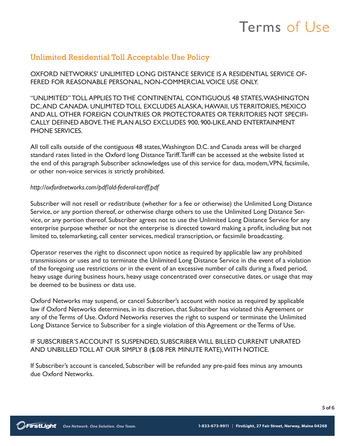# Unlimited Residential Toll Acceptable Use Policy

OXFORD NETWORKS' UNLIMITED LONG DISTANCE SERVICE IS A RESIDENTIAL SERVICE OF-FERED FOR REASONABLE PERSONAL, NON-COMMERCIAL VOICE USE ONLY.

"UNLIMITED" TOLL APPLIES TO THE CONTINENTAL CONTIGUOUS 48 STATES, WASHINGTON DC, AND CANADA. UNLIMITED TOLL EXCLUDES ALASKA, HAWAII, US TERRITORIES, MEXICO AND ALL OTHER FOREIGN COUNTRIES OR PROTECTORATES OR TERRITORIES NOT SPECIFI-CALLY DEFINED ABOVE. THE PLAN ALSO EXCLUDES 900, 900-LIKE, AND ENTERTAINMENT PHONE SERVICES.

All toll calls outside of the contiguous 48 states, Washington D.C. and Canada areas will be charged standard rates listed in the Oxford long Distance Tariff. Tariff can be accessed at the website listed at the end of this paragraph Subscriber acknowledges use of this service for data, modem, VPN, facsimile, or other non-voice services is strictly prohibited.

### *http://oxfordnetworks.com/pdf/old-federal-tariff.pdf*

Subscriber will not resell or redistribute (whether for a fee or otherwise) the Unlimited Long Distance Service, or any portion thereof, or otherwise charge others to use the Unlimited Long Distance Service, or any portion thereof. Subscriber agrees not to use the Unlimited Long Distance Service for any enterprise purpose whether or not the enterprise is directed toward making a profit, including but not limited to, telemarketing, call center services, medical transcription, or facsimile broadcasting.

Operator reserves the right to disconnect upon notice as required by applicable law any prohibited transmissions or uses and to terminate the Unlimited Long Distance Service in the event of a violation of the foregoing use restrictions or in the event of an excessive number of calls during a fixed period, heavy usage during business hours, heavy usage concentrated over consecutive dates, or usage that may be deemed to be business or data use.

Oxford Networks may suspend, or cancel Subscriber's account with notice as required by applicable law if Oxford Networks determines, in its discretion, that Subscriber has violated this Agreement or any of the Terms of Use. Oxford Networks reserves the right to suspend or terminate the Unlimited Long Distance Service to Subscriber for a single violation of this Agreement or the Terms of Use.

### IF SUBSCRIBER'S ACCOUNT IS SUSPENDED, SUBSCRIBER WILL BILLED CURRENT UNRATED AND UNBILLED TOLL AT OUR SIMPLY 8 (\$.08 PER MINUTE RATE), WITH NOTICE.

If Subscriber's account is canceled, Subscriber will be refunded any pre-paid fees minus any amounts due Oxford Networks.